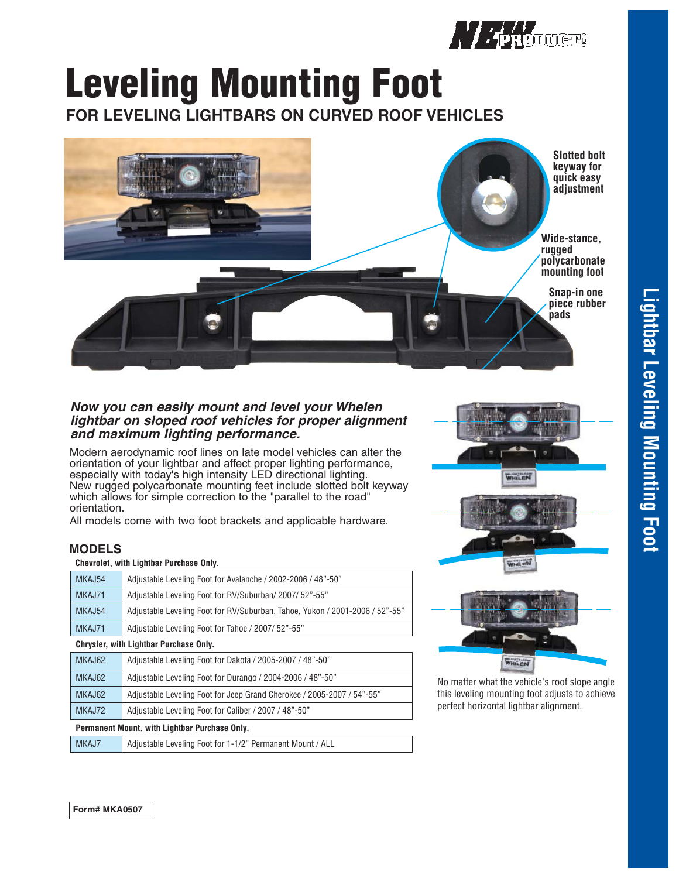

# **Leveling Mounting Foot**

**FOR LEVELING LIGHTBARS ON CURVED ROOF VEHICLES** 



### *Now you can easily mount and level your Whelen lightbar on sloped roof vehicles for proper alignment and maximum lighting performance.*

Modern aerodynamic roof lines on late model vehicles can alter the orientation of your lightbar and affect proper lighting performance, especially with today's high intensity LED directional lighting. New rugged polycarbonate mounting feet include slotted bolt keyway which allows for simple correction to the "parallel to the road" orientation.

All models come with two foot brackets and applicable hardware.

## **MODELS**

#### **Chevrolet, with Lightbar Purchase Only.**

| MKAJ54                                 | Adjustable Leveling Foot for Avalanche / 2002-2006 / 48"-50"                 |
|----------------------------------------|------------------------------------------------------------------------------|
| MKAJ71                                 | Adjustable Leveling Foot for RV/Suburban/2007/52"-55"                        |
| MKAJ54                                 | Adjustable Leveling Foot for RV/Suburban, Tahoe, Yukon / 2001-2006 / 52"-55" |
| MKAJ71                                 | Adjustable Leveling Foot for Tahoe / 2007/ 52"-55"                           |
| Chrysler, with Lightbar Purchase Only. |                                                                              |
| MKAJ62                                 | Adjustable Leveling Foot for Dakota / 2005-2007 / 48"-50"                    |
| MKAJ62                                 | Adjustable Leveling Foot for Durango / 2004-2006 / 48"-50"                   |
| MKAJ62                                 | Adjustable Leveling Foot for Jeep Grand Cherokee / 2005-2007 / 54"-55"       |
| MKAJ72                                 | Adjustable Leveling Foot for Caliber / 2007 / 48"-50"                        |
|                                        |                                                                              |

**Permanent Mount, with Lightbar Purchase Only.**

| MKAJ7 | Adjustable Leveling Foot for 1-1/2" Permanent Mount / ALL |
|-------|-----------------------------------------------------------|
|       |                                                           |



No matter what the vehicle's roof slope angle this leveling mounting foot adjusts to achieve perfect horizontal lightbar alignment.

**Lightbar Leveling Mounting Foot Lightbar Leveling Mounting Foot**